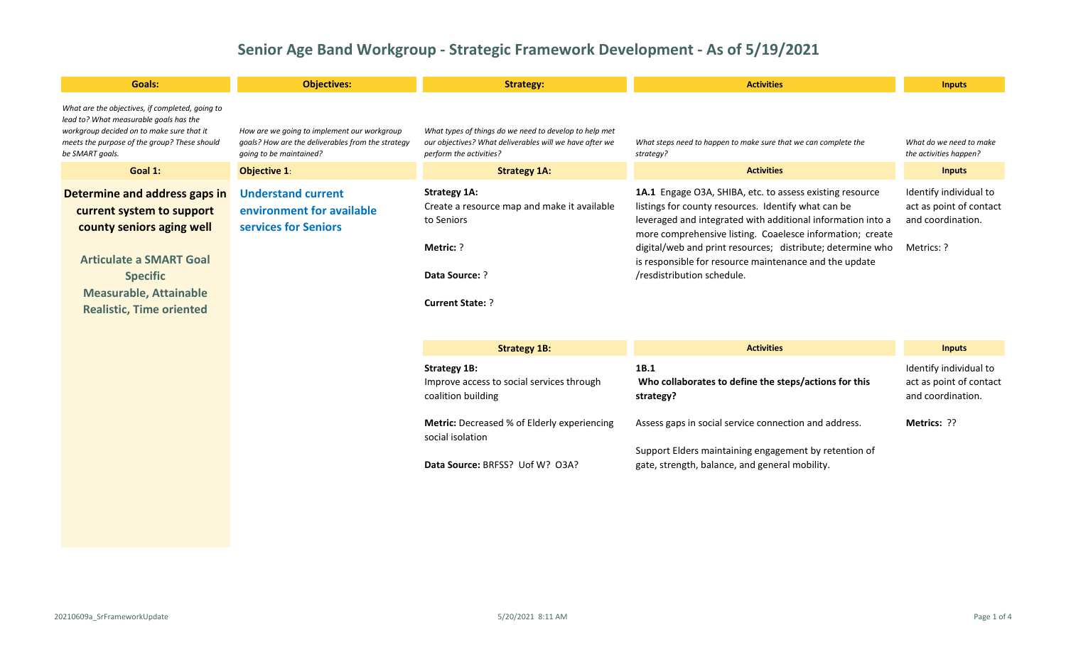| <b>Goals:</b>                                                                                                                                                                                                    | <b>Objectives:</b>                                                                                                          | <b>Strategy:</b>                                                                                                                             | <b>Activities</b>                                                                                                                                                                                                                                                                                                                                                                                 | <b>Inputs</b>                                                                        |
|------------------------------------------------------------------------------------------------------------------------------------------------------------------------------------------------------------------|-----------------------------------------------------------------------------------------------------------------------------|----------------------------------------------------------------------------------------------------------------------------------------------|---------------------------------------------------------------------------------------------------------------------------------------------------------------------------------------------------------------------------------------------------------------------------------------------------------------------------------------------------------------------------------------------------|--------------------------------------------------------------------------------------|
| What are the objectives, if completed, going to<br>lead to? What measurable goals has the<br>workgroup decided on to make sure that it<br>meets the purpose of the group? These should<br>be SMART goals.        | How are we going to implement our workgroup<br>goals? How are the deliverables from the strategy<br>going to be maintained? | What types of things do we need to develop to help met<br>our objectives? What deliverables will we have after we<br>perform the activities? | What steps need to happen to make sure that we can complete the<br>strategy?                                                                                                                                                                                                                                                                                                                      | What do we need to make<br>the activities happen?                                    |
| Goal 1:                                                                                                                                                                                                          | Objective 1:                                                                                                                | <b>Strategy 1A:</b>                                                                                                                          | <b>Activities</b>                                                                                                                                                                                                                                                                                                                                                                                 | <b>Inputs</b>                                                                        |
| Determine and address gaps in<br>current system to support<br>county seniors aging well<br><b>Articulate a SMART Goal</b><br><b>Specific</b><br><b>Measurable, Attainable</b><br><b>Realistic, Time oriented</b> | <b>Understand current</b><br>environment for available<br>services for Seniors                                              | <b>Strategy 1A:</b><br>Create a resource map and make it available<br>to Seniors<br>Metric: ?<br>Data Source: ?<br><b>Current State: ?</b>   | 1A.1 Engage O3A, SHIBA, etc. to assess existing resource<br>listings for county resources. Identify what can be<br>leveraged and integrated with additional information into a<br>more comprehensive listing. Coaelesce information; create<br>digital/web and print resources; distribute; determine who<br>is responsible for resource maintenance and the update<br>/resdistribution schedule. | Identify individual to<br>act as point of contact<br>and coordination.<br>Metrics: ? |
|                                                                                                                                                                                                                  |                                                                                                                             | <b>Strategy 1B:</b>                                                                                                                          | <b>Activities</b>                                                                                                                                                                                                                                                                                                                                                                                 | <b>Inputs</b>                                                                        |
|                                                                                                                                                                                                                  |                                                                                                                             | <b>Strategy 1B:</b><br>Improve access to social services through<br>coalition building                                                       | 1B.1<br>Who collaborates to define the steps/actions for this<br>strategy?                                                                                                                                                                                                                                                                                                                        | Identify individual to<br>act as point of contact<br>and coordination.               |

**Metric:** Decreased % of Elderly experiencing social isolation **Data Source:** BRFSS? Uof W? O3A? Assess gaps in social service connection and address. Support Elders maintaining engagement by retention of gate, strength, balance, and general mobility. **Metrics:** ??

20210609a\_SrFrameworkUpdate 5/20/2021 8:11 AM Page 1 of 4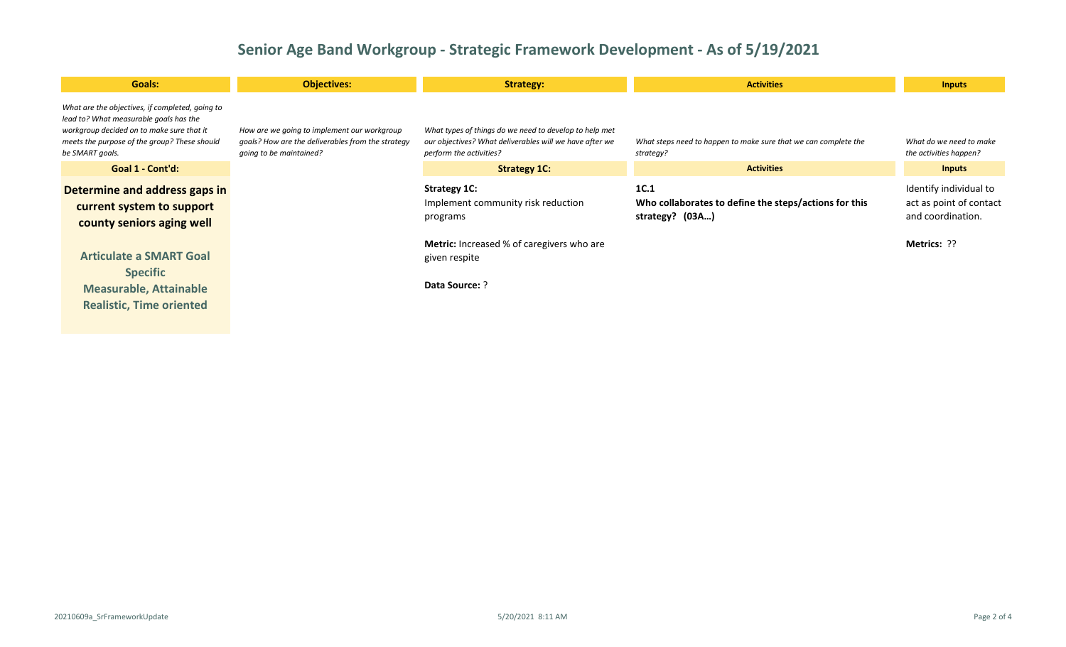| Goals:                                                                                                                                                                                                    | <b>Objectives:</b>                                                                                                          | <b>Strategy:</b>                                                                                                                             | <b>Activities</b>                                                                | <b>Inputs</b>                                                          |
|-----------------------------------------------------------------------------------------------------------------------------------------------------------------------------------------------------------|-----------------------------------------------------------------------------------------------------------------------------|----------------------------------------------------------------------------------------------------------------------------------------------|----------------------------------------------------------------------------------|------------------------------------------------------------------------|
| What are the objectives, if completed, going to<br>lead to? What measurable goals has the<br>workgroup decided on to make sure that it<br>meets the purpose of the group? These should<br>be SMART goals. | How are we going to implement our workgroup<br>goals? How are the deliverables from the strategy<br>going to be maintained? | What types of things do we need to develop to help met<br>our objectives? What deliverables will we have after we<br>perform the activities? | What steps need to happen to make sure that we can complete the<br>strategy?     | What do we need to make<br>the activities happen?                      |
| Goal 1 - Cont'd:                                                                                                                                                                                          |                                                                                                                             | <b>Strategy 1C:</b>                                                                                                                          | <b>Activities</b>                                                                | <b>Inputs</b>                                                          |
| Determine and address gaps in<br>current system to support<br>county seniors aging well                                                                                                                   |                                                                                                                             | <b>Strategy 1C:</b><br>Implement community risk reduction<br>programs                                                                        | 1C.1<br>Who collaborates to define the steps/actions for this<br>strategy? (03A) | Identify individual to<br>act as point of contact<br>and coordination. |
| <b>Articulate a SMART Goal</b><br><b>Specific</b><br><b>Measurable, Attainable</b><br><b>Realistic, Time oriented</b>                                                                                     |                                                                                                                             | <b>Metric:</b> Increased % of caregivers who are<br>given respite<br><b>Data Source: ?</b>                                                   |                                                                                  | Metrics: ??                                                            |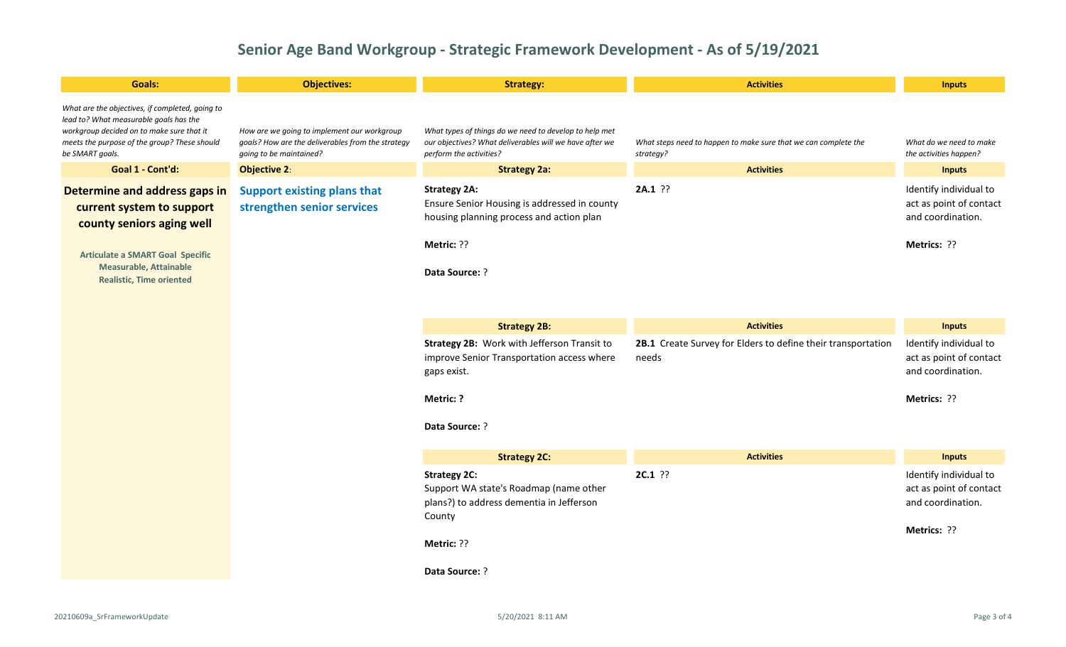| <b>Goals:</b>                                                                                                                                                                                             | <b>Objectives:</b>                                                                                                          | <b>Strategy:</b>                                                                                                                                | <b>Activities</b>                                                            | <b>Inputs</b>                                                                         |
|-----------------------------------------------------------------------------------------------------------------------------------------------------------------------------------------------------------|-----------------------------------------------------------------------------------------------------------------------------|-------------------------------------------------------------------------------------------------------------------------------------------------|------------------------------------------------------------------------------|---------------------------------------------------------------------------------------|
| What are the objectives, if completed, going to<br>lead to? What measurable goals has the<br>workgroup decided on to make sure that it<br>meets the purpose of the group? These should<br>be SMART goals. | How are we going to implement our workgroup<br>goals? How are the deliverables from the strategy<br>going to be maintained? | What types of things do we need to develop to help met<br>our objectives? What deliverables will we have after we<br>perform the activities?    | What steps need to happen to make sure that we can complete the<br>strategy? | What do we need to make<br>the activities happen?                                     |
| Goal 1 - Cont'd:                                                                                                                                                                                          | <b>Objective 2:</b>                                                                                                         | <b>Strategy 2a:</b>                                                                                                                             | <b>Activities</b>                                                            | <b>Inputs</b>                                                                         |
| Determine and address gaps in<br>current system to support<br>county seniors aging well<br><b>Articulate a SMART Goal Specific</b><br><b>Measurable, Attainable</b><br><b>Realistic, Time oriented</b>    | <b>Support existing plans that</b><br>strengthen senior services                                                            | <b>Strategy 2A:</b><br>Ensure Senior Housing is addressed in county<br>housing planning process and action plan<br>Metric: ??<br>Pata Source: ? | $2A.1$ ??                                                                    | Identify individual to<br>act as point of contact<br>and coordination.<br>Metrics: ?? |
|                                                                                                                                                                                                           |                                                                                                                             | <b>Strategy 2B:</b>                                                                                                                             | <b>Activities</b>                                                            | <b>Inputs</b>                                                                         |
|                                                                                                                                                                                                           |                                                                                                                             | Strategy 2B: Work with Jefferson Transit to<br>improve Senior Transportation access where<br>gaps exist.                                        | 2B.1 Create Survey for Elders to define their transportation<br>needs        | Identify individual to<br>act as point of contact<br>and coordination.                |
|                                                                                                                                                                                                           |                                                                                                                             | Metric: ?                                                                                                                                       |                                                                              | Metrics: ??                                                                           |
|                                                                                                                                                                                                           |                                                                                                                             | Data Source: ?                                                                                                                                  |                                                                              |                                                                                       |
|                                                                                                                                                                                                           |                                                                                                                             | <b>Strategy 2C:</b>                                                                                                                             | <b>Activities</b>                                                            | <b>Inputs</b>                                                                         |
|                                                                                                                                                                                                           |                                                                                                                             | <b>Strategy 2C:</b><br>Support WA state's Roadmap (name other<br>plans?) to address dementia in Jefferson<br>County                             | $2C.1$ ??                                                                    | Identify individual to<br>act as point of contact<br>and coordination.                |
|                                                                                                                                                                                                           |                                                                                                                             | Metric: ??                                                                                                                                      |                                                                              | Metrics: ??                                                                           |
|                                                                                                                                                                                                           |                                                                                                                             | Data Source: ?                                                                                                                                  |                                                                              |                                                                                       |